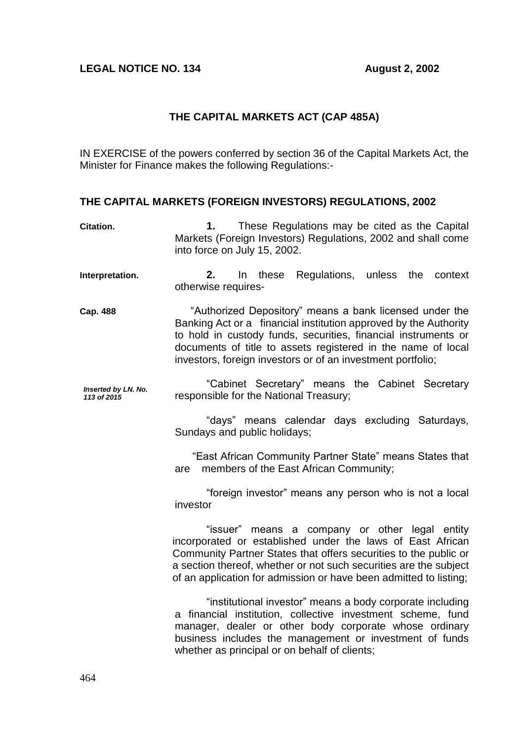## **LEGAL NOTICE NO. 134 August 2, 2002**

## **THE CAPITAL MARKETS ACT (CAP 485A)**

IN EXERCISE of the powers conferred by section 36 of the Capital Markets Act, the Minister for Finance makes the following Regulations:-

## **THE CAPITAL MARKETS (FOREIGN INVESTORS) REGULATIONS, 2002**

| Citation.                          | These Regulations may be cited as the Capital<br>1.<br>Markets (Foreign Investors) Regulations, 2002 and shall come<br>into force on July 15, 2002.                                                                                                                                                                          |
|------------------------------------|------------------------------------------------------------------------------------------------------------------------------------------------------------------------------------------------------------------------------------------------------------------------------------------------------------------------------|
| Interpretation.                    | In these Regulations, unless the context<br>2.<br>otherwise requires-                                                                                                                                                                                                                                                        |
| Cap. 488                           | "Authorized Depository" means a bank licensed under the<br>Banking Act or a financial institution approved by the Authority<br>to hold in custody funds, securities, financial instruments or<br>documents of title to assets registered in the name of local<br>investors, foreign investors or of an investment portfolio; |
| Inserted by LN. No.<br>113 of 2015 | "Cabinet Secretary" means the Cabinet Secretary<br>responsible for the National Treasury;                                                                                                                                                                                                                                    |
|                                    | "days" means calendar days excluding Saturdays,<br>Sundays and public holidays;                                                                                                                                                                                                                                              |
|                                    | "East African Community Partner State" means States that<br>members of the East African Community;<br>are                                                                                                                                                                                                                    |
|                                    | "foreign investor" means any person who is not a local<br>investor                                                                                                                                                                                                                                                           |
|                                    | "issuer" means a company or other legal entity<br>incorporated or established under the laws of East African<br>Community Partner States that offers securities to the public or<br>a section thereof, whether or not such securities are the subject<br>of an application for admission or have been admitted to listing;   |
|                                    | "institutional investor" means a body corporate including<br>a financial institution, collective investment scheme, fund<br>manager, dealer or other body corporate whose ordinary<br>business includes the management or investment of funds<br>whether as principal or on behalf of clients;                               |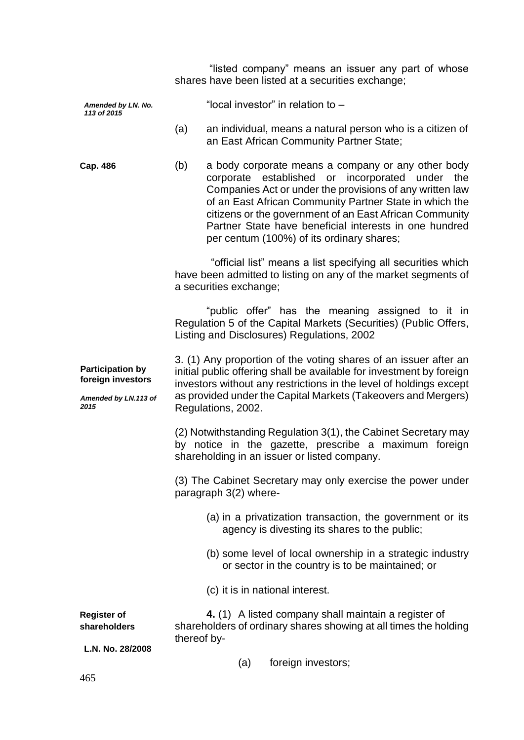|                                                                              |             | shares have been listed at a securities exchange;                                                                                                                                                                                                                                                     | "listed company" means an issuer any part of whose                                                                                                                                                                                                                        |  |     |
|------------------------------------------------------------------------------|-------------|-------------------------------------------------------------------------------------------------------------------------------------------------------------------------------------------------------------------------------------------------------------------------------------------------------|---------------------------------------------------------------------------------------------------------------------------------------------------------------------------------------------------------------------------------------------------------------------------|--|-----|
| Amended by LN. No.<br>113 of 2015                                            |             | "local investor" in relation to -                                                                                                                                                                                                                                                                     |                                                                                                                                                                                                                                                                           |  |     |
|                                                                              | (a)         | an individual, means a natural person who is a citizen of                                                                                                                                                                                                                                             | an East African Community Partner State;                                                                                                                                                                                                                                  |  |     |
| Cap. 486                                                                     | (b)         | a body corporate means a company or any other body<br>of an East African Community Partner State in which the                                                                                                                                                                                         | corporate established or incorporated under<br>Companies Act or under the provisions of any written law<br>citizens or the government of an East African Community<br>Partner State have beneficial interests in one hundred<br>per centum (100%) of its ordinary shares; |  | the |
|                                                                              |             | have been admitted to listing on any of the market segments of<br>a securities exchange;                                                                                                                                                                                                              | "official list" means a list specifying all securities which                                                                                                                                                                                                              |  |     |
|                                                                              |             | "public offer" has the meaning assigned to it in<br>Regulation 5 of the Capital Markets (Securities) (Public Offers,<br>Listing and Disclosures) Regulations, 2002                                                                                                                                    |                                                                                                                                                                                                                                                                           |  |     |
| <b>Participation by</b><br>foreign investors<br>Amended by LN.113 of<br>2015 |             | 3. (1) Any proportion of the voting shares of an issuer after an<br>initial public offering shall be available for investment by foreign<br>investors without any restrictions in the level of holdings except<br>as provided under the Capital Markets (Takeovers and Mergers)<br>Regulations, 2002. |                                                                                                                                                                                                                                                                           |  |     |
|                                                                              |             | (2) Notwithstanding Regulation 3(1), the Cabinet Secretary may<br>by notice in the gazette, prescribe a maximum foreign<br>shareholding in an issuer or listed company.                                                                                                                               |                                                                                                                                                                                                                                                                           |  |     |
|                                                                              |             | (3) The Cabinet Secretary may only exercise the power under<br>paragraph 3(2) where-                                                                                                                                                                                                                  |                                                                                                                                                                                                                                                                           |  |     |
|                                                                              |             |                                                                                                                                                                                                                                                                                                       | (a) in a privatization transaction, the government or its<br>agency is divesting its shares to the public;                                                                                                                                                                |  |     |
|                                                                              |             |                                                                                                                                                                                                                                                                                                       | (b) some level of local ownership in a strategic industry<br>or sector in the country is to be maintained; or                                                                                                                                                             |  |     |
|                                                                              |             |                                                                                                                                                                                                                                                                                                       | (c) it is in national interest.                                                                                                                                                                                                                                           |  |     |
| <b>Register of</b><br>shareholders                                           | thereof by- | 4. (1) A listed company shall maintain a register of<br>shareholders of ordinary shares showing at all times the holding                                                                                                                                                                              |                                                                                                                                                                                                                                                                           |  |     |
| L.N. No. 28/2008                                                             |             | (a)                                                                                                                                                                                                                                                                                                   | foreign investors;                                                                                                                                                                                                                                                        |  |     |
|                                                                              |             |                                                                                                                                                                                                                                                                                                       |                                                                                                                                                                                                                                                                           |  |     |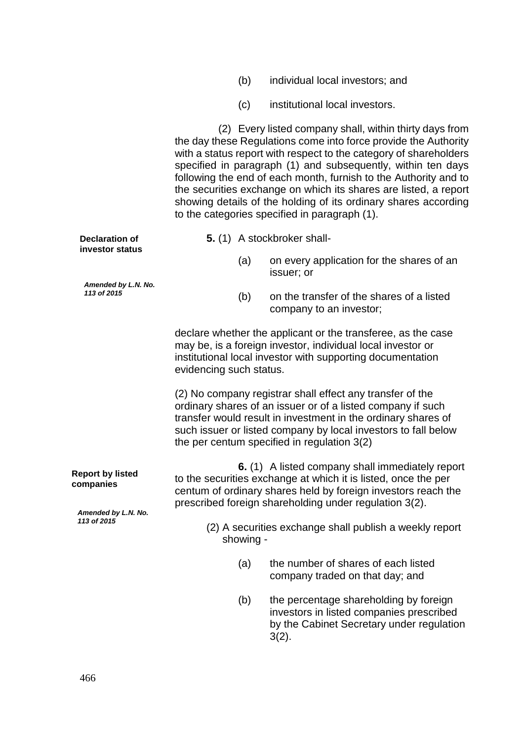| (b) | individual local investors; and |
|-----|---------------------------------|
|-----|---------------------------------|

(c) institutional local investors.

 (2) Every listed company shall, within thirty days from the day these Regulations come into force provide the Authority with a status report with respect to the category of shareholders specified in paragraph (1) and subsequently, within ten days following the end of each month, furnish to the Authority and to the securities exchange on which its shares are listed, a report showing details of the holding of its ordinary shares according

|                                                                                |                                                                      | Showing actains of the Holding of its ordinary shares according<br>to the categories specified in paragraph (1).                                                                                                                                                                                           |  |  |  |
|--------------------------------------------------------------------------------|----------------------------------------------------------------------|------------------------------------------------------------------------------------------------------------------------------------------------------------------------------------------------------------------------------------------------------------------------------------------------------------|--|--|--|
| <b>Declaration of</b><br>investor status<br>Amended by L.N. No.<br>113 of 2015 |                                                                      | 5. (1) A stockbroker shall-                                                                                                                                                                                                                                                                                |  |  |  |
|                                                                                | (a)                                                                  | on every application for the shares of an<br>issuer; or                                                                                                                                                                                                                                                    |  |  |  |
|                                                                                | (b)                                                                  | on the transfer of the shares of a listed<br>company to an investor;                                                                                                                                                                                                                                       |  |  |  |
|                                                                                | evidencing such status.                                              | declare whether the applicant or the transferee, as the case<br>may be, is a foreign investor, individual local investor or<br>institutional local investor with supporting documentation                                                                                                                  |  |  |  |
|                                                                                |                                                                      | (2) No company registrar shall effect any transfer of the<br>ordinary shares of an issuer or of a listed company if such<br>transfer would result in investment in the ordinary shares of<br>such issuer or listed company by local investors to fall below<br>the per centum specified in regulation 3(2) |  |  |  |
| <b>Report by listed</b><br>companies<br>Amended by L.N. No.<br>113 of 2015     |                                                                      | 6. (1) A listed company shall immediately report<br>to the securities exchange at which it is listed, once the per<br>centum of ordinary shares held by foreign investors reach the<br>prescribed foreign shareholding under regulation 3(2).                                                              |  |  |  |
|                                                                                | (2) A securities exchange shall publish a weekly report<br>showing - |                                                                                                                                                                                                                                                                                                            |  |  |  |
|                                                                                | (a)                                                                  | the number of shares of each listed<br>company traded on that day; and                                                                                                                                                                                                                                     |  |  |  |
|                                                                                | (b)                                                                  | the percentage shareholding by foreign<br>investors in listed companies prescribed<br>by the Cabinet Secretary under regulation<br>$3(2)$ .                                                                                                                                                                |  |  |  |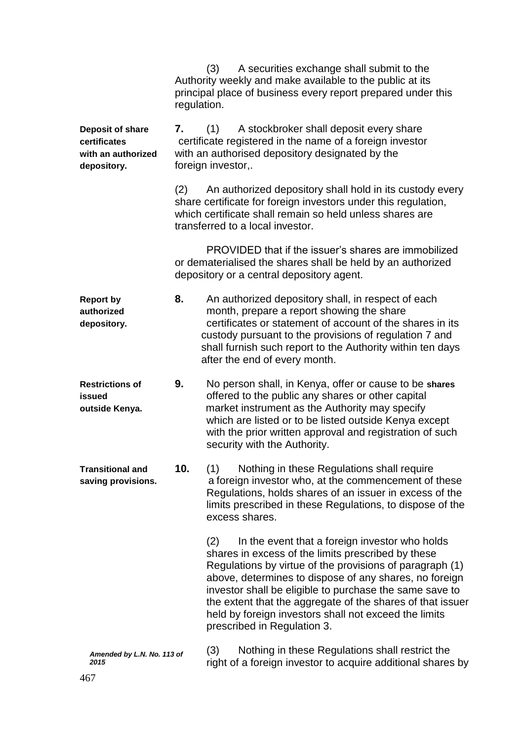|                                                                       | regulation. | A securities exchange shall submit to the<br>(3)<br>Authority weekly and make available to the public at its<br>principal place of business every report prepared under this                                                                                                                                                                                                                                                                       |
|-----------------------------------------------------------------------|-------------|----------------------------------------------------------------------------------------------------------------------------------------------------------------------------------------------------------------------------------------------------------------------------------------------------------------------------------------------------------------------------------------------------------------------------------------------------|
| Deposit of share<br>certificates<br>with an authorized<br>depository. | 7.          | A stockbroker shall deposit every share<br>(1)<br>certificate registered in the name of a foreign investor<br>with an authorised depository designated by the<br>foreign investor,.                                                                                                                                                                                                                                                                |
|                                                                       | (2)         | An authorized depository shall hold in its custody every<br>share certificate for foreign investors under this regulation,<br>which certificate shall remain so held unless shares are<br>transferred to a local investor.                                                                                                                                                                                                                         |
|                                                                       |             | PROVIDED that if the issuer's shares are immobilized<br>or dematerialised the shares shall be held by an authorized<br>depository or a central depository agent.                                                                                                                                                                                                                                                                                   |
| <b>Report by</b><br>authorized<br>depository.                         | 8.          | An authorized depository shall, in respect of each<br>month, prepare a report showing the share<br>certificates or statement of account of the shares in its<br>custody pursuant to the provisions of regulation 7 and<br>shall furnish such report to the Authority within ten days<br>after the end of every month.                                                                                                                              |
| <b>Restrictions of</b><br>issued<br>outside Kenya.                    | 9.          | No person shall, in Kenya, offer or cause to be shares<br>offered to the public any shares or other capital<br>market instrument as the Authority may specify<br>which are listed or to be listed outside Kenya except<br>with the prior written approval and registration of such<br>security with the Authority.                                                                                                                                 |
| <b>Transitional and</b><br>saving provisions.                         | 10.         | Nothing in these Regulations shall require<br>(1)<br>a foreign investor who, at the commencement of these<br>Regulations, holds shares of an issuer in excess of the<br>limits prescribed in these Regulations, to dispose of the<br>excess shares.                                                                                                                                                                                                |
|                                                                       |             | In the event that a foreign investor who holds<br>(2)<br>shares in excess of the limits prescribed by these<br>Regulations by virtue of the provisions of paragraph (1)<br>above, determines to dispose of any shares, no foreign<br>investor shall be eligible to purchase the same save to<br>the extent that the aggregate of the shares of that issuer<br>held by foreign investors shall not exceed the limits<br>prescribed in Regulation 3. |
| Amended by L.N. No. 113 of<br>2015                                    |             | Nothing in these Regulations shall restrict the<br>(3)<br>right of a foreign investor to acquire additional shares by                                                                                                                                                                                                                                                                                                                              |